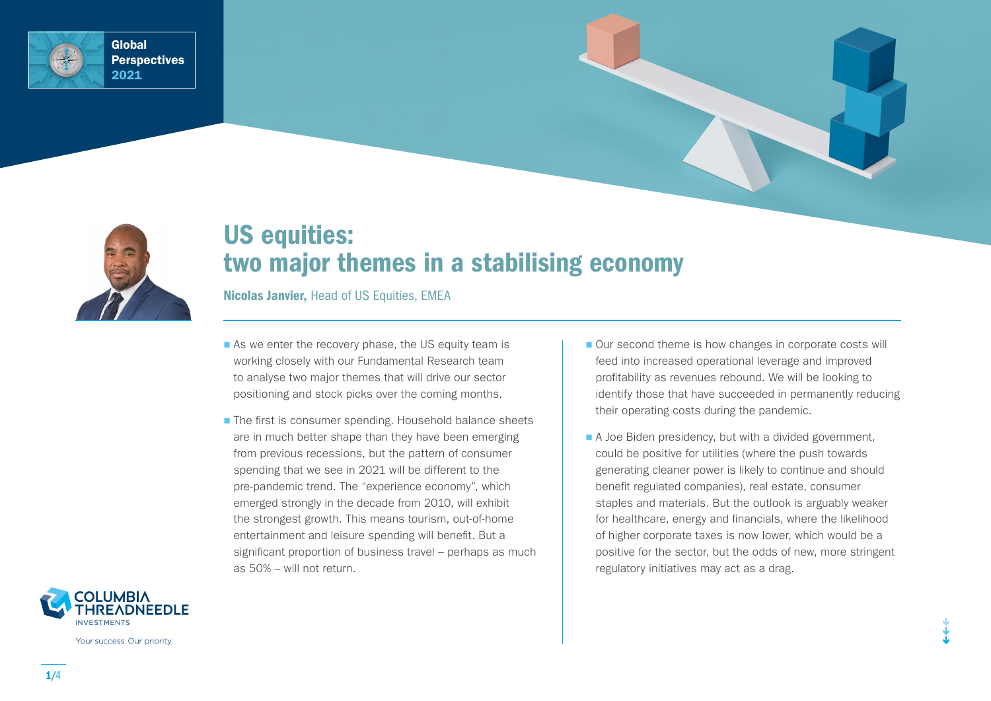



# US equities: two major themes in a stabilising economy

Nicolas Janvier, Head of US Equities, EMEA

- As we enter the recovery phase, the US equity team is working closely with our Fundamental Research team to analyse two major themes that will drive our sector positioning and stock picks over the coming months.
- The first is consumer spending. Household balance sheets are in much better shape than they have been emerging from previous recessions, but the pattern of consumer spending that we see in 2021 will be different to the pre-pandemic trend. The "experience economy", which emerged strongly in the decade from 2010, will exhibit the strongest growth. This means tourism, out-of-home entertainment and leisure spending will benefit. But a significant proportion of business travel – perhaps as much as 50% – will not return.
- Our second theme is how changes in corporate costs will feed into increased operational leverage and improved profitability as revenues rebound. We will be looking to identify those that have succeeded in permanently reducing their operating costs during the pandemic.
- $\blacksquare$  A Joe Biden presidency, but with a divided government, could be positive for utilities (where the push towards generating cleaner power is likely to continue and should benefit regulated companies), real estate, consumer staples and materials. But the outlook is arguably weaker for healthcare, energy and financials, where the likelihood of higher corporate taxes is now lower, which would be a positive for the sector, but the odds of new, more stringent regulatory initiatives may act as a drag.



Your success. Our priority.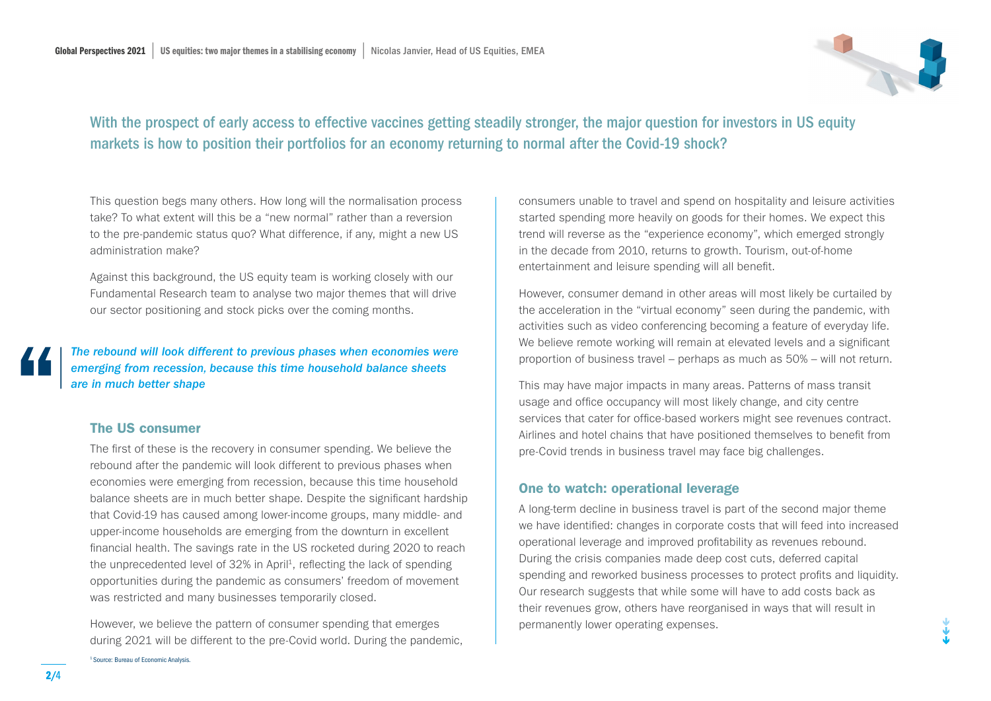

## With the prospect of early access to effective vaccines getting steadily stronger, the major question for investors in US equity markets is how to position their portfolios for an economy returning to normal after the Covid-19 shock?

This question begs many others. How long will the normalisation process take? To what extent will this be a "new normal" rather than a reversion to the pre-pandemic status quo? What difference, if any, might a new US administration make?

Against this background, the US equity team is working closely with our Fundamental Research team to analyse two major themes that will drive our sector positioning and stock picks over the coming months.

*The rebound will look different to previous phases when economies were emerging from recession, because this time household balance sheets are in much better shape*

### The US consumer

1 Source: Bureau of Economic Analysis.

The first of these is the recovery in consumer spending. We believe the rebound after the pandemic will look different to previous phases when economies were emerging from recession, because this time household balance sheets are in much better shape. Despite the significant hardship that Covid-19 has caused among lower-income groups, many middle- and upper-income households are emerging from the downturn in excellent financial health. The savings rate in the US rocketed during 2020 to reach the unprecedented level of 32% in April<sup>1</sup>, reflecting the lack of spending opportunities during the pandemic as consumers' freedom of movement was restricted and many businesses temporarily closed.

However, we believe the pattern of consumer spending that emerges during 2021 will be different to the pre-Covid world. During the pandemic,

consumers unable to travel and spend on hospitality and leisure activities started spending more heavily on goods for their homes. We expect this trend will reverse as the "experience economy", which emerged strongly in the decade from 2010, returns to growth. Tourism, out-of-home entertainment and leisure spending will all benefit.

However, consumer demand in other areas will most likely be curtailed by the acceleration in the "virtual economy" seen during the pandemic, with activities such as video conferencing becoming a feature of everyday life. We believe remote working will remain at elevated levels and a significant proportion of business travel – perhaps as much as 50% – will not return.

This may have major impacts in many areas. Patterns of mass transit usage and office occupancy will most likely change, and city centre services that cater for office-based workers might see revenues contract. Airlines and hotel chains that have positioned themselves to benefit from pre-Covid trends in business travel may face big challenges.

### One to watch: operational leverage

A long-term decline in business travel is part of the second major theme we have identified: changes in corporate costs that will feed into increased operational leverage and improved profitability as revenues rebound. During the crisis companies made deep cost cuts, deferred capital spending and reworked business processes to protect profits and liquidity. Our research suggests that while some will have to add costs back as their revenues grow, others have reorganised in ways that will result in permanently lower operating expenses.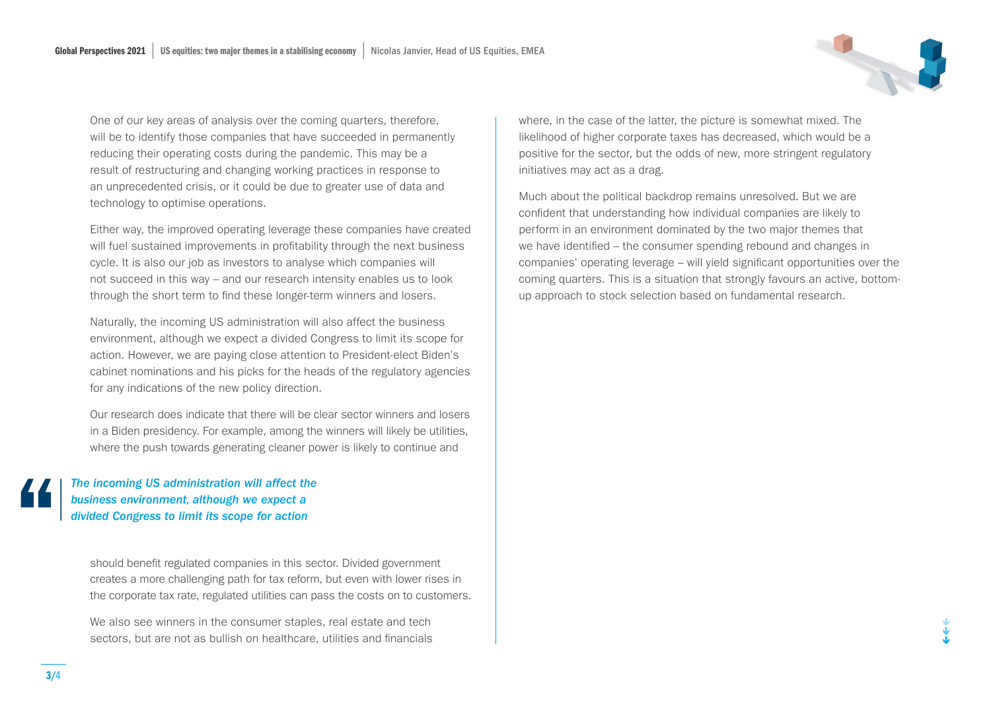One of our key areas of analysis over the coming quarters, therefore, will be to identify those companies that have succeeded in permanently reducing their operating costs during the pandemic. This may be a result of restructuring and changing working practices in response to an unprecedented crisis, or it could be due to greater use of data and technology to optimise operations.

Either way, the improved operating leverage these companies have created will fuel sustained improvements in profitability through the next business cycle. It is also our job as investors to analyse which companies will not succeed in this way – and our research intensity enables us to look through the short term to find these longer-term winners and losers.

Naturally, the incoming US administration will also affect the business environment, although we expect a divided Congress to limit its scope for action. However, we are paying close attention to President-elect Biden's cabinet nominations and his picks for the heads of the regulatory agencies for any indications of the new policy direction.

Our research does indicate that there will be clear sector winners and losers in a Biden presidency. For example, among the winners will likely be utilities, where the push towards generating cleaner power is likely to continue and

*The incoming US administration will affect the business environment, although we expect a divided Congress to limit its scope for action*

should benefit regulated companies in this sector. Divided government creates a more challenging path for tax reform, but even with lower rises in the corporate tax rate, regulated utilities can pass the costs on to customers.

We also see winners in the consumer staples, real estate and tech sectors, but are not as bullish on healthcare, utilities and financials

where, in the case of the latter, the picture is somewhat mixed. The likelihood of higher corporate taxes has decreased, which would be a positive for the sector, but the odds of new, more stringent regulatory initiatives may act as a drag.

Much about the political backdrop remains unresolved. But we are confident that understanding how individual companies are likely to perform in an environment dominated by the two major themes that we have identified – the consumer spending rebound and changes in companies' operating leverage – will yield significant opportunities over the coming quarters. This is a situation that strongly favours an active, bottomup approach to stock selection based on fundamental research.

3/4